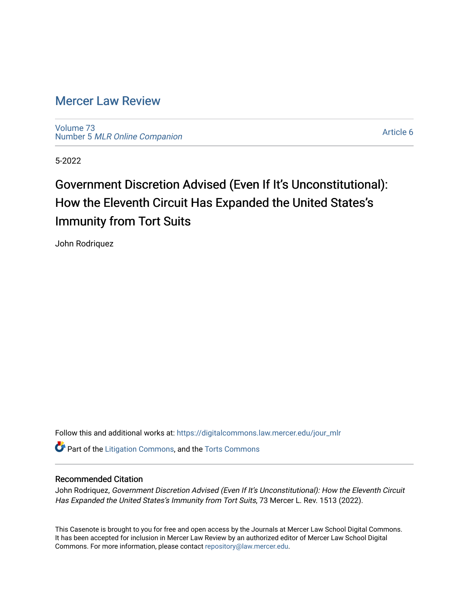# [Mercer Law Review](https://digitalcommons.law.mercer.edu/jour_mlr)

[Volume 73](https://digitalcommons.law.mercer.edu/jour_mlr/vol73) Number 5 [MLR Online Companion](https://digitalcommons.law.mercer.edu/jour_mlr/vol73/iss5) 

[Article 6](https://digitalcommons.law.mercer.edu/jour_mlr/vol73/iss5/6) 

5-2022

# Government Discretion Advised (Even If It's Unconstitutional): How the Eleventh Circuit Has Expanded the United States's Immunity from Tort Suits

John Rodriquez

Follow this and additional works at: [https://digitalcommons.law.mercer.edu/jour\\_mlr](https://digitalcommons.law.mercer.edu/jour_mlr?utm_source=digitalcommons.law.mercer.edu%2Fjour_mlr%2Fvol73%2Fiss5%2F6&utm_medium=PDF&utm_campaign=PDFCoverPages)

**C** Part of the [Litigation Commons](https://network.bepress.com/hgg/discipline/910?utm_source=digitalcommons.law.mercer.edu%2Fjour_mlr%2Fvol73%2Fiss5%2F6&utm_medium=PDF&utm_campaign=PDFCoverPages), and the [Torts Commons](https://network.bepress.com/hgg/discipline/913?utm_source=digitalcommons.law.mercer.edu%2Fjour_mlr%2Fvol73%2Fiss5%2F6&utm_medium=PDF&utm_campaign=PDFCoverPages)

## Recommended Citation

John Rodriquez, Government Discretion Advised (Even If It's Unconstitutional): How the Eleventh Circuit Has Expanded the United States's Immunity from Tort Suits, 73 Mercer L. Rev. 1513 (2022).

This Casenote is brought to you for free and open access by the Journals at Mercer Law School Digital Commons. It has been accepted for inclusion in Mercer Law Review by an authorized editor of Mercer Law School Digital Commons. For more information, please contact [repository@law.mercer.edu.](mailto:repository@law.mercer.edu)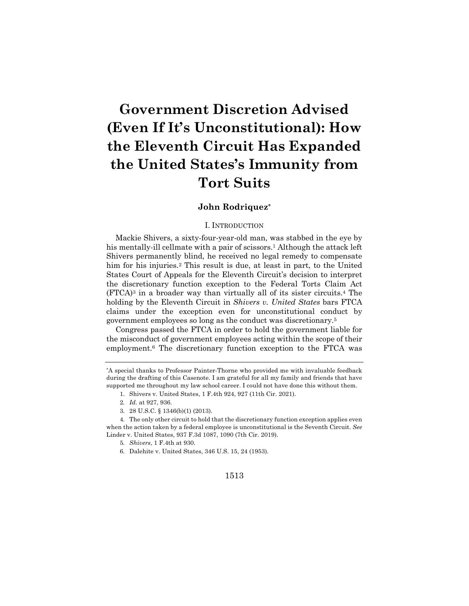# **Government Discretion Advised (Even If It's Unconstitutional): How the Eleventh Circuit Has Expanded the United States's Immunity from Tort Suits**

### **John Rodriquez\***

#### I. INTRODUCTION

Mackie Shivers, a sixty-four-year-old man, was stabbed in the eye by his mentally-ill cellmate with a pair of scissors.<sup>1</sup> Although the attack left Shivers permanently blind, he received no legal remedy to compensate him for his injuries.<sup>2</sup> This result is due, at least in part, to the United States Court of Appeals for the Eleventh Circuit's decision to interpret the discretionary function exception to the Federal Torts Claim Act  $(FTCA)^3$  in a broader way than virtually all of its sister circuits.<sup>4</sup> The holding by the Eleventh Circuit in *Shivers v. United States* bars FTCA claims under the exception even for unconstitutional conduct by government employees so long as the conduct was discretionary.5

Congress passed the FTCA in order to hold the government liable for the misconduct of government employees acting within the scope of their employment.6 The discretionary function exception to the FTCA was

6. Dalehite v. United States, 346 U.S. 15, 24 (1953).

#### 1513

<sup>\*</sup>A special thanks to Professor Painter-Thorne who provided me with invaluable feedback during the drafting of this Casenote. I am grateful for all my family and friends that have supported me throughout my law school career. I could not have done this without them.

<sup>1.</sup> Shivers v. United States, 1 F.4th 924, 927 (11th Cir. 2021).

<sup>2</sup>*. Id.* at 927, 936.

<sup>3.</sup> 28 U.S.C. § 1346(b)(1) (2013).

<sup>4.</sup> The only other circuit to hold that the discretionary function exception applies even when the action taken by a federal employee is unconstitutional is the Seventh Circuit. *See* Linder v. United States, 937 F.3d 1087, 1090 (7th Cir. 2019).

<sup>5</sup>*. Shivers*, 1 F.4th at 930.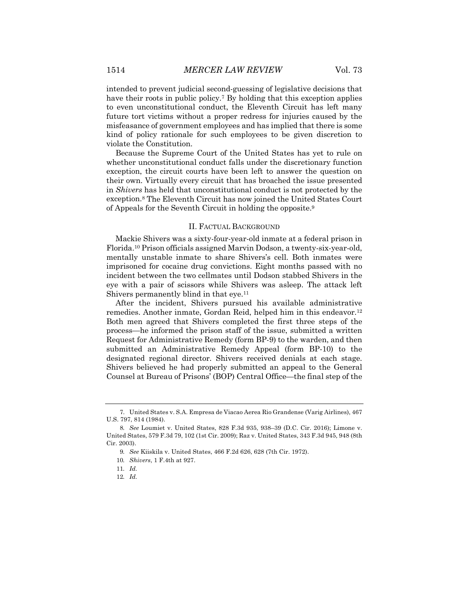intended to prevent judicial second-guessing of legislative decisions that have their roots in public policy.<sup>7</sup> By holding that this exception applies to even unconstitutional conduct, the Eleventh Circuit has left many future tort victims without a proper redress for injuries caused by the misfeasance of government employees and has implied that there is some kind of policy rationale for such employees to be given discretion to violate the Constitution.

Because the Supreme Court of the United States has yet to rule on whether unconstitutional conduct falls under the discretionary function exception, the circuit courts have been left to answer the question on their own. Virtually every circuit that has broached the issue presented in *Shivers* has held that unconstitutional conduct is not protected by the exception.8 The Eleventh Circuit has now joined the United States Court of Appeals for the Seventh Circuit in holding the opposite.9

#### II. FACTUAL BACKGROUND

Mackie Shivers was a sixty-four-year-old inmate at a federal prison in Florida.10 Prison officials assigned Marvin Dodson, a twenty-six-year-old, mentally unstable inmate to share Shivers's cell. Both inmates were imprisoned for cocaine drug convictions. Eight months passed with no incident between the two cellmates until Dodson stabbed Shivers in the eye with a pair of scissors while Shivers was asleep. The attack left Shivers permanently blind in that eye.11

After the incident, Shivers pursued his available administrative remedies. Another inmate, Gordan Reid, helped him in this endeavor.<sup>12</sup> Both men agreed that Shivers completed the first three steps of the process—he informed the prison staff of the issue, submitted a written Request for Administrative Remedy (form BP-9) to the warden, and then submitted an Administrative Remedy Appeal (form BP-10) to the designated regional director. Shivers received denials at each stage. Shivers believed he had properly submitted an appeal to the General Counsel at Bureau of Prisons' (BOP) Central Office—the final step of the

<sup>7.</sup> United States v. S.A. Empresa de Viacao Aerea Rio Grandense (Varig Airlines), 467 U.S. 797, 814 (1984).

<sup>8</sup>*. See* Loumiet v. United States, 828 F.3d 935, 938–39 (D.C. Cir. 2016); Limone v. United States, 579 F.3d 79, 102 (1st Cir. 2009); Raz v. United States, 343 F.3d 945, 948 (8th Cir. 2003).

<sup>9</sup>*. See* Kiiskila v. United States, 466 F.2d 626, 628 (7th Cir. 1972).

<sup>10</sup>*. Shivers*, 1 F.4th at 927.

<sup>11</sup>*. Id.*

<sup>12</sup>*. Id.*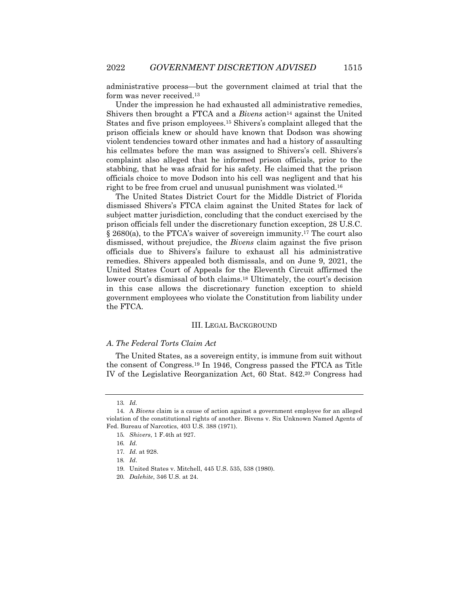administrative process—but the government claimed at trial that the form was never received.13

Under the impression he had exhausted all administrative remedies, Shivers then brought a FTCA and a *Bivens* action<sup>14</sup> against the United States and five prison employees.15 Shivers's complaint alleged that the prison officials knew or should have known that Dodson was showing violent tendencies toward other inmates and had a history of assaulting his cellmates before the man was assigned to Shivers's cell. Shivers's complaint also alleged that he informed prison officials, prior to the stabbing, that he was afraid for his safety. He claimed that the prison officials choice to move Dodson into his cell was negligent and that his right to be free from cruel and unusual punishment was violated.16

The United States District Court for the Middle District of Florida dismissed Shivers's FTCA claim against the United States for lack of subject matter jurisdiction, concluding that the conduct exercised by the prison officials fell under the discretionary function exception, 28 U.S.C. § 2680(a), to the FTCA's waiver of sovereign immunity.17 The court also dismissed, without prejudice, the *Bivens* claim against the five prison officials due to Shivers's failure to exhaust all his administrative remedies. Shivers appealed both dismissals, and on June 9, 2021, the United States Court of Appeals for the Eleventh Circuit affirmed the lower court's dismissal of both claims.18 Ultimately, the court's decision in this case allows the discretionary function exception to shield government employees who violate the Constitution from liability under the FTCA.

#### III. LEGAL BACKGROUND

#### *A. The Federal Torts Claim Act*

The United States, as a sovereign entity, is immune from suit without the consent of Congress.19 In 1946, Congress passed the FTCA as Title IV of the Legislative Reorganization Act, 60 Stat. 842.20 Congress had

<sup>13</sup>*. Id.*

<sup>14.</sup> A *Bivens* claim is a cause of action against a government employee for an alleged violation of the constitutional rights of another. Bivens v. Six Unknown Named Agents of Fed. Bureau of Narcotics, 403 U.S. 388 (1971).

<sup>15</sup>*. Shivers*, 1 F.4th at 927.

<sup>16</sup>*. Id.*

<sup>17</sup>*. Id.* at 928.

<sup>18</sup>*. Id*.

<sup>19.</sup> United States v. Mitchell, 445 U.S. 535, 538 (1980).

<sup>20</sup>*. Dalehite*, 346 U.S. at 24.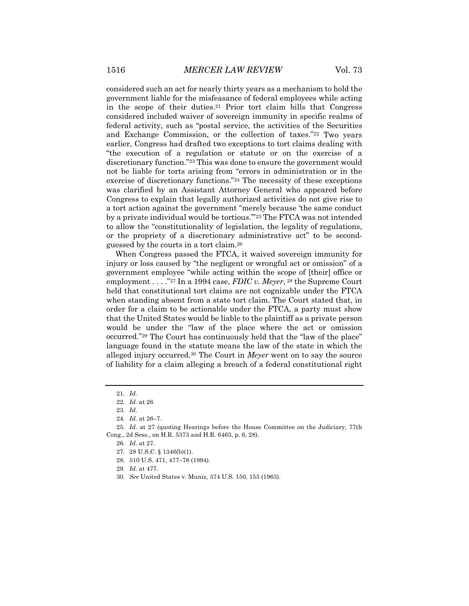considered such an act for nearly thirty years as a mechanism to hold the government liable for the misfeasance of federal employees while acting in the scope of their duties.21 Prior tort claim bills that Congress considered included waiver of sovereign immunity in specific realms of federal activity, such as "postal service, the activities of the Securities and Exchange Commission, or the collection of taxes."22 Two years earlier, Congress had drafted two exceptions to tort claims dealing with "the execution of a regulation or statute or on the exercise of a discretionary function."23 This was done to ensure the government would not be liable for torts arising from "errors in administration or in the exercise of discretionary functions."24 The necessity of these exceptions was clarified by an Assistant Attorney General who appeared before Congress to explain that legally authorized activities do not give rise to a tort action against the government "merely because 'the same conduct by a private individual would be tortious.'"25 The FTCA was not intended to allow the "constitutionality of legislation, the legality of regulations, or the propriety of a discretionary administrative act" to be secondguessed by the courts in a tort claim.26

When Congress passed the FTCA, it waived sovereign immunity for injury or loss caused by "the negligent or wrongful act or omission" of a government employee "while acting within the scope of [their] office or employment . . . ."27 In a 1994 case, *FDIC v. Meyer*, <sup>28</sup> the Supreme Court held that constitutional tort claims are not cognizable under the FTCA when standing absent from a state tort claim. The Court stated that, in order for a claim to be actionable under the FTCA, a party must show that the United States would be liable to the plaintiff as a private person would be under the "law of the place where the act or omission occurred."29 The Court has continuously held that the "law of the place" language found in the statute means the law of the state in which the alleged injury occurred.30 The Court in *Meyer* went on to say the source of liability for a claim alleging a breach of a federal constitutional right

- 29*. Id.* at 477.
- 30*. See* United States v. Muniz, 374 U.S. 150, 153 (1963).

<sup>21</sup>*. Id.*

<sup>22</sup>*. Id.* at 26

<sup>23</sup>*. Id.*

<sup>24</sup>*. Id.* at 26–7.

<sup>25</sup>*. Id.* at 27 (quoting Hearings before the House Committee on the Judiciary, 77th Cong., 2d Sess., on H.R. 5373 and H.R. 6463, p. 6, 28).

<sup>26</sup>*. Id.* at 27.

<sup>27.</sup> 28 U.S.C. § 1346(b)(1).

<sup>28.</sup> 510 U.S. 471, 477–78 (1994).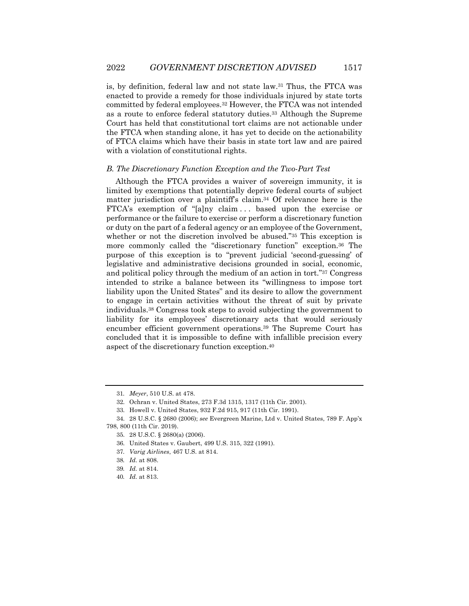is, by definition, federal law and not state law.31 Thus, the FTCA was enacted to provide a remedy for those individuals injured by state torts committed by federal employees.32 However, the FTCA was not intended as a route to enforce federal statutory duties.33 Although the Supreme Court has held that constitutional tort claims are not actionable under the FTCA when standing alone, it has yet to decide on the actionability of FTCA claims which have their basis in state tort law and are paired with a violation of constitutional rights.

#### *B. The Discretionary Function Exception and the Two-Part Test*

Although the FTCA provides a waiver of sovereign immunity, it is limited by exemptions that potentially deprive federal courts of subject matter jurisdiction over a plaintiff's claim.34 Of relevance here is the FTCA's exemption of "[a]ny claim . . . based upon the exercise or performance or the failure to exercise or perform a discretionary function or duty on the part of a federal agency or an employee of the Government, whether or not the discretion involved be abused."35 This exception is more commonly called the "discretionary function" exception.36 The purpose of this exception is to "prevent judicial 'second-guessing' of legislative and administrative decisions grounded in social, economic, and political policy through the medium of an action in tort."37 Congress intended to strike a balance between its "willingness to impose tort liability upon the United States" and its desire to allow the government to engage in certain activities without the threat of suit by private individuals.38 Congress took steps to avoid subjecting the government to liability for its employees' discretionary acts that would seriously encumber efficient government operations.39 The Supreme Court has concluded that it is impossible to define with infallible precision every aspect of the discretionary function exception.40

<sup>31</sup>*. Meyer*, 510 U.S. at 478.

<sup>32.</sup> Ochran v. United States, 273 F.3d 1315, 1317 (11th Cir. 2001).

<sup>33.</sup> Howell v. United States, 932 F.2d 915, 917 (11th Cir. 1991).

<sup>34.</sup> 28 U.S.C. § 2680 (2006); *see* Evergreen Marine, Ltd v. United States, 789 F. App'x 798, 800 (11th Cir. 2019).

<sup>35.</sup> 28 U.S.C. § 2680(a) (2006).

<sup>36.</sup> United States v. Gaubert, 499 U.S. 315, 322 (1991).

<sup>37</sup>*. Varig Airlines*, 467 U.S. at 814.

<sup>38</sup>*. Id.* at 808.

<sup>39</sup>*. Id.* at 814.

<sup>40</sup>*. Id.* at 813.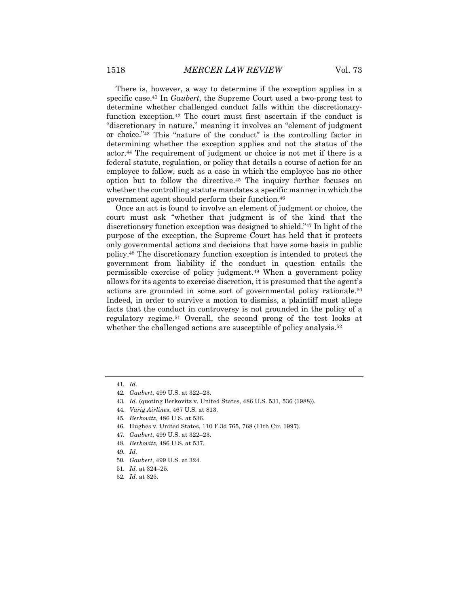There is, however, a way to determine if the exception applies in a specific case.41 In *Gaubert*, the Supreme Court used a two-prong test to determine whether challenged conduct falls within the discretionaryfunction exception.42 The court must first ascertain if the conduct is "discretionary in nature," meaning it involves an "element of judgment or choice."43 This "nature of the conduct" is the controlling factor in determining whether the exception applies and not the status of the actor.44 The requirement of judgment or choice is not met if there is a federal statute, regulation, or policy that details a course of action for an employee to follow, such as a case in which the employee has no other option but to follow the directive.45 The inquiry further focuses on whether the controlling statute mandates a specific manner in which the government agent should perform their function.46

Once an act is found to involve an element of judgment or choice, the court must ask "whether that judgment is of the kind that the discretionary function exception was designed to shield."47 In light of the purpose of the exception, the Supreme Court has held that it protects only governmental actions and decisions that have some basis in public policy.48 The discretionary function exception is intended to protect the government from liability if the conduct in question entails the permissible exercise of policy judgment.49 When a government policy allows for its agents to exercise discretion, it is presumed that the agent's actions are grounded in some sort of governmental policy rationale.50 Indeed, in order to survive a motion to dismiss, a plaintiff must allege facts that the conduct in controversy is not grounded in the policy of a regulatory regime.51 Overall, the second prong of the test looks at whether the challenged actions are susceptible of policy analysis.<sup>52</sup>

48*. Berkovitz*, 486 U.S. at 537.

50*. Gaubert*, 499 U.S. at 324.

<sup>41</sup>*. Id.*

<sup>42</sup>*. Gaubert*, 499 U.S. at 322–23.

<sup>43</sup>*. Id.* (quoting Berkovitz v. United States, 486 U.S. 531, 536 (1988)).

<sup>44</sup>*. Varig Airlines*, 467 U.S. at 813.

<sup>45</sup>*. Berkovitz*, 486 U.S. at 536.

<sup>46.</sup> Hughes v. United States, 110 F.3d 765, 768 (11th Cir. 1997).

<sup>47</sup>*. Gaubert*, 499 U.S. at 322–23.

<sup>49</sup>*. Id.*

<sup>51</sup>*. Id.* at 324–25.

<sup>52</sup>*. Id.* at 325.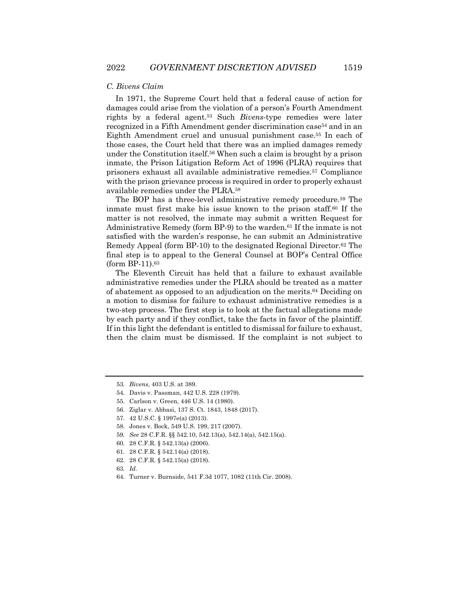#### *C. Bivens Claim*

In 1971, the Supreme Court held that a federal cause of action for damages could arise from the violation of a person's Fourth Amendment rights by a federal agent.53 Such *Bivens*-type remedies were later recognized in a Fifth Amendment gender discrimination case54 and in an Eighth Amendment cruel and unusual punishment case.55 In each of those cases, the Court held that there was an implied damages remedy under the Constitution itself.56 When such a claim is brought by a prison inmate, the Prison Litigation Reform Act of 1996 (PLRA) requires that prisoners exhaust all available administrative remedies.57 Compliance with the prison grievance process is required in order to properly exhaust available remedies under the PLRA.58

The BOP has a three-level administrative remedy procedure.59 The inmate must first make his issue known to the prison staff.60 If the matter is not resolved, the inmate may submit a written Request for Administrative Remedy (form BP-9) to the warden.61 If the inmate is not satisfied with the warden's response, he can submit an Administrative Remedy Appeal (form BP-10) to the designated Regional Director.62 The final step is to appeal to the General Counsel at BOP's Central Office (form BP-11).63

The Eleventh Circuit has held that a failure to exhaust available administrative remedies under the PLRA should be treated as a matter of abatement as opposed to an adjudication on the merits.64 Deciding on a motion to dismiss for failure to exhaust administrative remedies is a two-step process. The first step is to look at the factual allegations made by each party and if they conflict, take the facts in favor of the plaintiff. If in this light the defendant is entitled to dismissal for failure to exhaust, then the claim must be dismissed. If the complaint is not subject to

- 59*. See* 28 C.F.R. §§ 542.10, 542.13(a), 542.14(a), 542.15(a).
- 60. 28 C.F.R. § 542.13(a) (2006).
- 61. 28 C.F.R. § 542.14(a) (2018).
- 62. 28 C.F.R. § 542.15(a) (2018).

<sup>53</sup>*. Bivens*, 403 U.S. at 389.

<sup>54.</sup> Davis v. Passman, 442 U.S. 228 (1979).

<sup>55.</sup> Carlson v. Green, 446 U.S. 14 (1980).

<sup>56.</sup> Ziglar v. Abbasi, 137 S. Ct. 1843, 1848 (2017).

<sup>57.</sup> 42 U.S.C. § 1997e(a) (2013).

<sup>58.</sup> Jones v. Bock, 549 U.S. 199, 217 (2007).

<sup>63</sup>*. Id.*

<sup>64.</sup> Turner v. Burnside, 541 F.3d 1077, 1082 (11th Cir. 2008).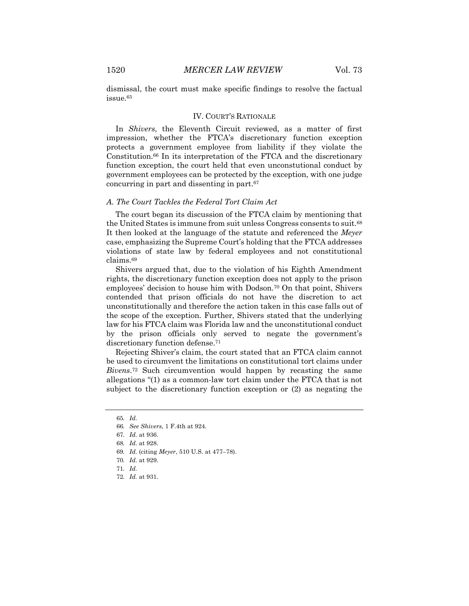dismissal, the court must make specific findings to resolve the factual issue.65

#### IV. COURT'S RATIONALE

In *Shivers*, the Eleventh Circuit reviewed, as a matter of first impression, whether the FTCA's discretionary function exception protects a government employee from liability if they violate the Constitution.66 In its interpretation of the FTCA and the discretionary function exception, the court held that even unconstutional conduct by government employees can be protected by the exception, with one judge concurring in part and dissenting in part.67

### *A. The Court Tackles the Federal Tort Claim Act*

The court began its discussion of the FTCA claim by mentioning that the United States is immune from suit unless Congress consents to suit.68 It then looked at the language of the statute and referenced the *Meyer*  case, emphasizing the Supreme Court's holding that the FTCA addresses violations of state law by federal employees and not constitutional claims.69

Shivers argued that, due to the violation of his Eighth Amendment rights, the discretionary function exception does not apply to the prison employees' decision to house him with Dodson.70 On that point, Shivers contended that prison officials do not have the discretion to act unconstitutionally and therefore the action taken in this case falls out of the scope of the exception. Further, Shivers stated that the underlying law for his FTCA claim was Florida law and the unconstitutional conduct by the prison officials only served to negate the government's discretionary function defense.71

Rejecting Shiver's claim, the court stated that an FTCA claim cannot be used to circumvent the limitations on constitutional tort claims under *Bivens*.72 Such circumvention would happen by recasting the same allegations "(1) as a common-law tort claim under the FTCA that is not subject to the discretionary function exception or (2) as negating the

<sup>65</sup>*. Id.*

<sup>66</sup>*. See Shivers*, 1 F.4th at 924.

<sup>67</sup>*. Id.* at 936.

<sup>68</sup>*. Id.* at 928.

<sup>69</sup>*. Id.* (citing *Meyer*, 510 U.S. at 477–78).

<sup>70</sup>*. Id.* at 929.

<sup>71</sup>*. Id.*

<sup>72</sup>*. Id.* at 931.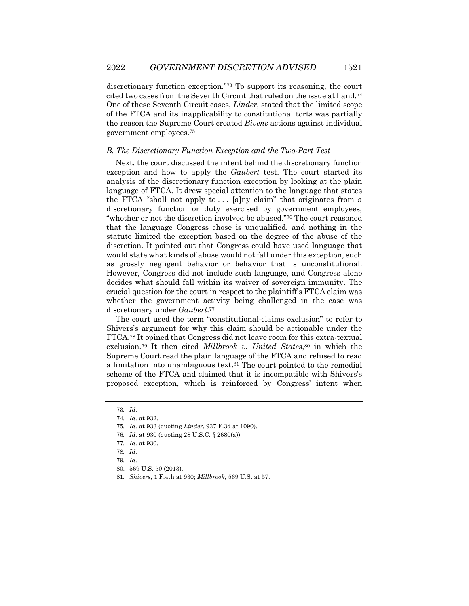discretionary function exception."73 To support its reasoning, the court cited two cases from the Seventh Circuit that ruled on the issue at hand.74 One of these Seventh Circuit cases, *Linder*, stated that the limited scope of the FTCA and its inapplicability to constitutional torts was partially the reason the Supreme Court created *Bivens* actions against individual government employees.75

#### *B. The Discretionary Function Exception and the Two-Part Test*

Next, the court discussed the intent behind the discretionary function exception and how to apply the *Gaubert* test. The court started its analysis of the discretionary function exception by looking at the plain language of FTCA. It drew special attention to the language that states the FTCA "shall not apply to  $\ldots$  [a]ny claim" that originates from a discretionary function or duty exercised by government employees, "whether or not the discretion involved be abused."76 The court reasoned that the language Congress chose is unqualified, and nothing in the statute limited the exception based on the degree of the abuse of the discretion. It pointed out that Congress could have used language that would state what kinds of abuse would not fall under this exception, such as grossly negligent behavior or behavior that is unconstitutional. However, Congress did not include such language, and Congress alone decides what should fall within its waiver of sovereign immunity. The crucial question for the court in respect to the plaintiff's FTCA claim was whether the government activity being challenged in the case was discretionary under *Gaubert*.77

The court used the term "constitutional-claims exclusion" to refer to Shivers's argument for why this claim should be actionable under the FTCA.78 It opined that Congress did not leave room for this extra-textual exclusion.<sup>79</sup> It then cited *Millbrook v. United States*,<sup>80</sup> in which the Supreme Court read the plain language of the FTCA and refused to read a limitation into unambiguous text.81 The court pointed to the remedial scheme of the FTCA and claimed that it is incompatible with Shivers's proposed exception, which is reinforced by Congress' intent when

<sup>73</sup>*. Id.*

<sup>74</sup>*. Id.* at 932.

<sup>75</sup>*. Id.* at 933 (quoting *Linder*, 937 F.3d at 1090).

<sup>76</sup>*. Id.* at 930 (quoting 28 U.S.C. § 2680(a)).

<sup>77</sup>*. Id.* at 930.

<sup>78</sup>*. Id.*

<sup>79</sup>*. Id.*

<sup>80.</sup> 569 U.S. 50 (2013).

<sup>81</sup>*. Shivers*, 1 F.4th at 930; *Millbrook*, 569 U.S. at 57.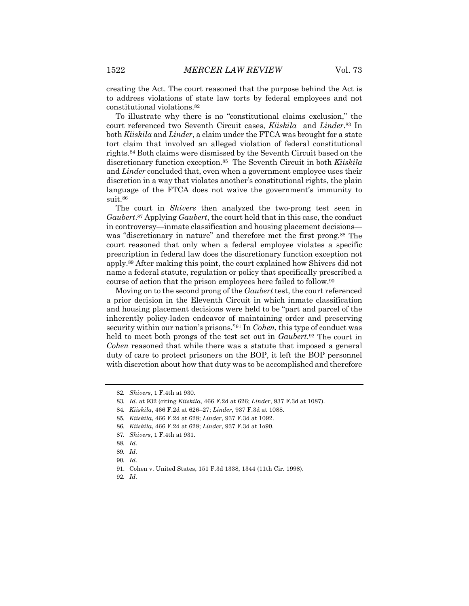creating the Act. The court reasoned that the purpose behind the Act is to address violations of state law torts by federal employees and not constitutional violations.82

To illustrate why there is no "constitutional claims exclusion," the court referenced two Seventh Circuit cases, *Kiiskila* and *Linder*.83 In both *Kiiskila* and *Linder*, a claim under the FTCA was brought for a state tort claim that involved an alleged violation of federal constitutional rights.84 Both claims were dismissed by the Seventh Circuit based on the discretionary function exception.85 The Seventh Circuit in both *Kiiskila* and *Linder* concluded that, even when a government employee uses their discretion in a way that violates another's constitutional rights, the plain language of the FTCA does not waive the government's immunity to suit.86

The court in *Shivers* then analyzed the two-prong test seen in *Gaubert*.87 Applying *Gaubert*, the court held that in this case, the conduct in controversy—inmate classification and housing placement decisions was "discretionary in nature" and therefore met the first prong.<sup>88</sup> The court reasoned that only when a federal employee violates a specific prescription in federal law does the discretionary function exception not apply.89 After making this point, the court explained how Shivers did not name a federal statute, regulation or policy that specifically prescribed a course of action that the prison employees here failed to follow.90

Moving on to the second prong of the *Gaubert* test, the court referenced a prior decision in the Eleventh Circuit in which inmate classification and housing placement decisions were held to be "part and parcel of the inherently policy-laden endeavor of maintaining order and preserving security within our nation's prisons."91 In *Cohen*, this type of conduct was held to meet both prongs of the test set out in *Gaubert*.92 The court in *Cohen* reasoned that while there was a statute that imposed a general duty of care to protect prisoners on the BOP, it left the BOP personnel with discretion about how that duty was to be accomplished and therefore

<sup>82</sup>*. Shivers*, 1 F.4th at 930.

<sup>83</sup>*. Id.* at 932 (citing *Kiiskila*, 466 F.2d at 626; *Linder*, 937 F.3d at 1087).

<sup>84</sup>*. Kiiskila*, 466 F.2d at 626–27; *Linder*, 937 F.3d at 1088.

<sup>85</sup>*. Kiiskila*, 466 F.2d at 628; *Linder*, 937 F.3d at 1092.

<sup>86</sup>*. Kiiskila*, 466 F.2d at 628; *Linder*, 937 F.3d at 1o90.

<sup>87</sup>*. Shivers*, 1 F.4th at 931.

<sup>88</sup>*. Id.*

<sup>89</sup>*. Id.*

<sup>90</sup>*. Id.*

<sup>91.</sup> Cohen v. United States, 151 F.3d 1338, 1344 (11th Cir. 1998).

<sup>92</sup>*. Id.*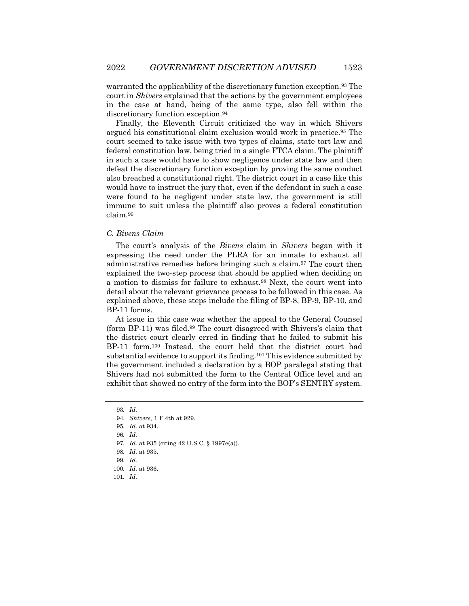warranted the applicability of the discretionary function exception.93 The court in *Shivers* explained that the actions by the government employees in the case at hand, being of the same type, also fell within the discretionary function exception.94

Finally, the Eleventh Circuit criticized the way in which Shivers argued his constitutional claim exclusion would work in practice.95 The court seemed to take issue with two types of claims, state tort law and federal constitution law, being tried in a single FTCA claim. The plaintiff in such a case would have to show negligence under state law and then defeat the discretionary function exception by proving the same conduct also breached a constitutional right. The district court in a case like this would have to instruct the jury that, even if the defendant in such a case were found to be negligent under state law, the government is still immune to suit unless the plaintiff also proves a federal constitution claim.96

#### *C. Bivens Claim*

The court's analysis of the *Bivens* claim in *Shivers* began with it expressing the need under the PLRA for an inmate to exhaust all administrative remedies before bringing such a claim.97 The court then explained the two-step process that should be applied when deciding on a motion to dismiss for failure to exhaust.98 Next, the court went into detail about the relevant grievance process to be followed in this case. As explained above, these steps include the filing of BP-8, BP-9, BP-10, and BP-11 forms.

At issue in this case was whether the appeal to the General Counsel (form BP-11) was filed.99 The court disagreed with Shivers's claim that the district court clearly erred in finding that he failed to submit his BP-11 form.100 Instead, the court held that the district court had substantial evidence to support its finding.101 This evidence submitted by the government included a declaration by a BOP paralegal stating that Shivers had not submitted the form to the Central Office level and an exhibit that showed no entry of the form into the BOP's SENTRY system.

101*. Id.*

<sup>93</sup>*. Id.*

<sup>94</sup>*. Shivers,* 1 F.4th at 929.

<sup>95</sup>*. Id.* at 934.

<sup>96</sup>*. Id.*

<sup>97</sup>*. Id.* at 935 (citing 42 U.S.C. § 1997e(a)).

<sup>98</sup>*. Id.* at 935.

<sup>99</sup>*. Id.*

<sup>100</sup>*. Id.* at 936.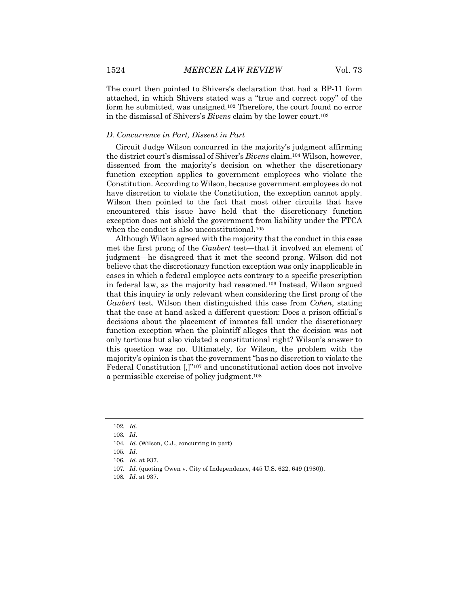The court then pointed to Shivers's declaration that had a BP-11 form attached, in which Shivers stated was a "true and correct copy" of the form he submitted, was unsigned.102 Therefore, the court found no error in the dismissal of Shivers's *Bivens* claim by the lower court.103

#### *D. Concurrence in Part, Dissent in Part*

Circuit Judge Wilson concurred in the majority's judgment affirming the district court's dismissal of Shiver's *Bivens* claim.104 Wilson, however, dissented from the majority's decision on whether the discretionary function exception applies to government employees who violate the Constitution. According to Wilson, because government employees do not have discretion to violate the Constitution, the exception cannot apply. Wilson then pointed to the fact that most other circuits that have encountered this issue have held that the discretionary function exception does not shield the government from liability under the FTCA when the conduct is also unconstitutional.<sup>105</sup>

Although Wilson agreed with the majority that the conduct in this case met the first prong of the *Gaubert* test—that it involved an element of judgment—he disagreed that it met the second prong. Wilson did not believe that the discretionary function exception was only inapplicable in cases in which a federal employee acts contrary to a specific prescription in federal law, as the majority had reasoned.106 Instead, Wilson argued that this inquiry is only relevant when considering the first prong of the *Gaubert* test. Wilson then distinguished this case from *Cohen*, stating that the case at hand asked a different question: Does a prison official's decisions about the placement of inmates fall under the discretionary function exception when the plaintiff alleges that the decision was not only tortious but also violated a constitutional right? Wilson's answer to this question was no. Ultimately, for Wilson, the problem with the majority's opinion is that the government "has no discretion to violate the Federal Constitution  $\left[\right]$ <sup>"107</sup> and unconstitutional action does not involve a permissible exercise of policy judgment.108

<sup>102</sup>*. Id.*

<sup>103</sup>*. Id*.

<sup>104</sup>*. Id.* (Wilson, C.J., concurring in part)

<sup>105</sup>*. Id.*

<sup>106</sup>*. Id.* at 937.

<sup>107</sup>*. Id.* (quoting Owen v. City of Independence, 445 U.S. 622, 649 (1980)).

<sup>108</sup>*. Id.* at 937.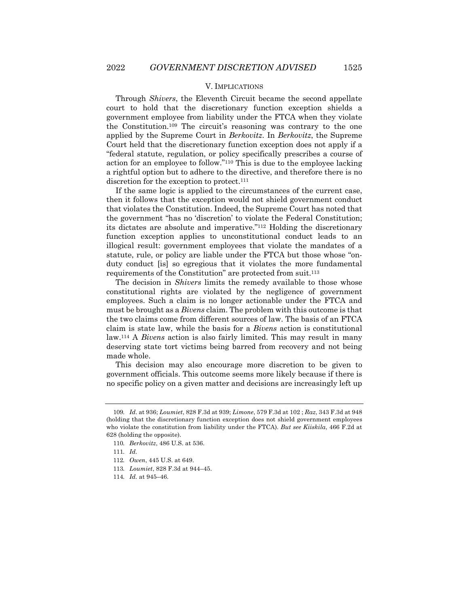#### V. IMPLICATIONS

Through *Shivers*, the Eleventh Circuit became the second appellate court to hold that the discretionary function exception shields a government employee from liability under the FTCA when they violate the Constitution.109 The circuit's reasoning was contrary to the one applied by the Supreme Court in *Berkovitz*. In *Berkovitz*, the Supreme Court held that the discretionary function exception does not apply if a "federal statute, regulation, or policy specifically prescribes a course of action for an employee to follow."110 This is due to the employee lacking a rightful option but to adhere to the directive, and therefore there is no discretion for the exception to protect.<sup>111</sup>

If the same logic is applied to the circumstances of the current case, then it follows that the exception would not shield government conduct that violates the Constitution. Indeed, the Supreme Court has noted that the government "has no 'discretion' to violate the Federal Constitution; its dictates are absolute and imperative."112 Holding the discretionary function exception applies to unconstitutional conduct leads to an illogical result: government employees that violate the mandates of a statute, rule, or policy are liable under the FTCA but those whose "onduty conduct [is] so egregious that it violates the more fundamental requirements of the Constitution" are protected from suit.113

The decision in *Shivers* limits the remedy available to those whose constitutional rights are violated by the negligence of government employees. Such a claim is no longer actionable under the FTCA and must be brought as a *Bivens* claim. The problem with this outcome is that the two claims come from different sources of law. The basis of an FTCA claim is state law, while the basis for a *Bivens* action is constitutional law.114 A *Bivens* action is also fairly limited. This may result in many deserving state tort victims being barred from recovery and not being made whole.

This decision may also encourage more discretion to be given to government officials. This outcome seems more likely because if there is no specific policy on a given matter and decisions are increasingly left up

<sup>109</sup>*. Id*. at 936; *Loumiet*, 828 F.3d at 939; *Limone*, 579 F.3d at 102 ; *Raz*, 343 F.3d at 948 (holding that the discretionary function exception does not shield government employees who violate the constitution from liability under the FTCA). *But see Kiiskila*, 466 F.2d at 628 (holding the opposite).

<sup>110</sup>*. Berkovitz*, 486 U.S. at 536.

<sup>111</sup>*. Id.*

<sup>112</sup>*. Owen*, 445 U.S. at 649.

<sup>113</sup>*. Loumiet*, 828 F.3d at 944–45.

<sup>114</sup>*. Id.* at 945–46.